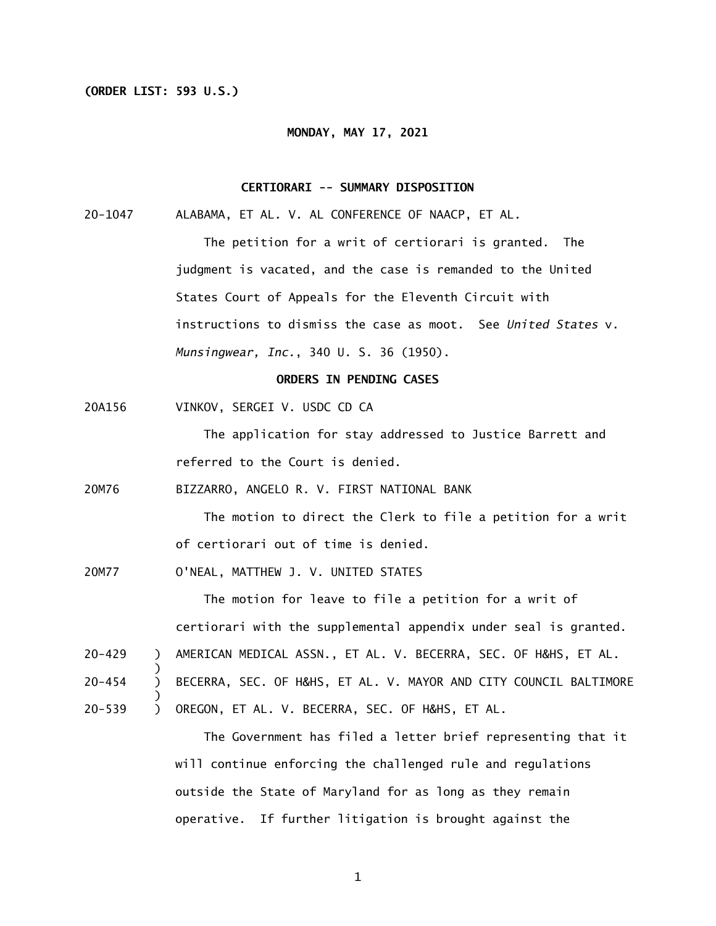#### **(ORDER LIST: 593 U.S.)**

#### **MONDAY, MAY 17, 2021**

## **CERTIORARI -- SUMMARY DISPOSITION**

20-1047 ALABAMA, ET AL. V. AL CONFERENCE OF NAACP, ET AL.

 The petition for a writ of certiorari is granted. The judgment is vacated, and the case is remanded to the United States Court of Appeals for the Eleventh Circuit with instructions to dismiss the case as moot. See *United States* v. *Munsingwear, Inc.*, 340 U. S. 36 (1950).

## **ORDERS IN PENDING CASES**

20A156 VINKOV, SERGEI V. USDC CD CA

> The application for stay addressed to Justice Barrett and referred to the Court is denied.

20M76 BIZZARRO, ANGELO R. V. FIRST NATIONAL BANK

> The motion to direct the Clerk to file a petition for a writ of certiorari out of time is denied.

20M77 O'NEAL, MATTHEW J. V. UNITED STATES

)

)

The motion for leave to file a petition for a writ of certiorari with the supplemental appendix under seal is granted.

- 20-429 ) AMERICAN MEDICAL ASSN., ET AL. V. BECERRA, SEC. OF H&HS, ET AL.
- 20-454  $\lambda$ BECERRA, SEC. OF H&HS, ET AL. V. MAYOR AND CITY COUNCIL BALTIMORE
- 20-539  $\sum$ OREGON, ET AL. V. BECERRA, SEC. OF H&HS, ET AL.

 outside the State of Maryland for as long as they remain operative. If further litigation is brought against the The Government has filed a letter brief representing that it will continue enforcing the challenged rule and regulations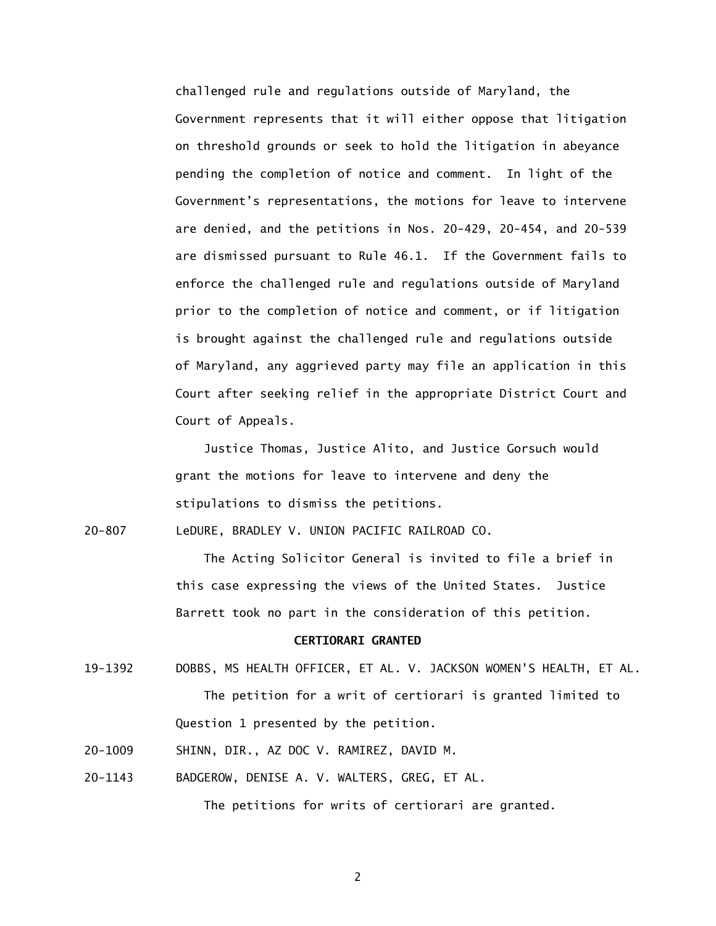Government represents that it will either oppose that litigation on threshold grounds or seek to hold the litigation in abeyance pending the completion of notice and comment. In light of the Government's representations, the motions for leave to intervene are denied, and the petitions in Nos. 20-429, 20-454, and 20-539 are dismissed pursuant to Rule 46.1. If the Government fails to enforce the challenged rule and regulations outside of Maryland prior to the completion of notice and comment, or if litigation is brought against the challenged rule and regulations outside of Maryland, any aggrieved party may file an application in this Court after seeking relief in the appropriate District Court and challenged rule and regulations outside of Maryland, the Court of Appeals.

 Justice Thomas, Justice Alito, and Justice Gorsuch would grant the motions for leave to intervene and deny the stipulations to dismiss the petitions.

 $20 - 807$ LeDURE, BRADLEY V. UNION PACIFIC RAILROAD CO.

> The Acting Solicitor General is invited to file a brief in this case expressing the views of the United States. Justice Barrett took no part in the consideration of this petition.

## **CERTIORARI GRANTED**

- 19-1392 DOBBS, MS HEALTH OFFICER, ET AL. V. JACKSON WOMEN'S HEALTH, ET AL. The petition for a writ of certiorari is granted limited to Question 1 presented by the petition.
- 20-1009 SHINN, DIR., AZ DOC V. RAMIREZ, DAVID M.
- 20-1143 BADGEROW, DENISE A. V. WALTERS, GREG, ET AL.

The petitions for writs of certiorari are granted.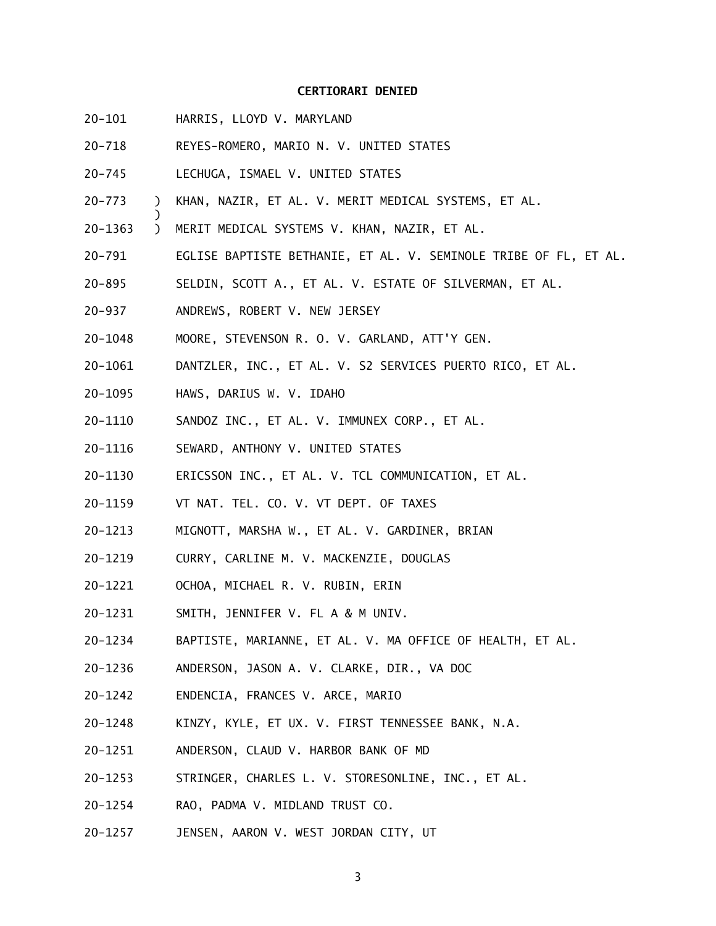### **CERTIORARI DENIED**

 $20 - 101$ HARRIS, LLOYD V. MARYLAND

)

- $20 718$ 20-718 REYES-ROMERO, MARIO N. V. UNITED STATES
- $20 745$ LECHUGA, ISMAEL V. UNITED STATES
- $20 773$ ) KHAN, NAZIR, ET AL. V. MERIT MEDICAL SYSTEMS, ET AL.
- 20-1363 ) MERIT MEDICAL SYSTEMS V. KHAN, NAZIR, ET AL.
- $20 791$ EGLISE BAPTISTE BETHANIE, ET AL. V. SEMINOLE TRIBE OF FL, ET AL.
- $20 895$ SELDIN, SCOTT A., ET AL. V. ESTATE OF SILVERMAN, ET AL.
- $20 937$ ANDREWS, ROBERT V. NEW JERSEY
- 20-1048 MOORE, STEVENSON R. O. V. GARLAND, ATT'Y GEN.
- 20-1061 DANTZLER, INC., ET AL. V. S2 SERVICES PUERTO RICO, ET AL.
- 20-1095 HAWS, DARIUS W. V. IDAHO
- 20-1110 SANDOZ INC., ET AL. V. IMMUNEX CORP., ET AL.
- 20-1116 SEWARD, ANTHONY V. UNITED STATES
- 20-1130 ERICSSON INC., ET AL. V. TCL COMMUNICATION, ET AL.
- 20-1159 VT NAT. TEL. CO. V. VT DEPT. OF TAXES
- 20-1213 MIGNOTT, MARSHA W., ET AL. V. GARDINER, BRIAN
- 20-1219 CURRY, CARLINE M. V. MACKENZIE, DOUGLAS
- 20-1221 OCHOA, MICHAEL R. V. RUBIN, ERIN
- 20-1231 SMITH, JENNIFER V. FL A & M UNIV.
- 20-1234 BAPTISTE, MARIANNE, ET AL. V. MA OFFICE OF HEALTH, ET AL.
- 20-1236 ANDERSON, JASON A. V. CLARKE, DIR., VA DOC
- 20-1242 ENDENCIA, FRANCES V. ARCE, MARIO
- 20-1248 KINZY, KYLE, ET UX. V. FIRST TENNESSEE BANK, N.A.
- 20-1251 ANDERSON, CLAUD V. HARBOR BANK OF MD
- 20-1253 STRINGER, CHARLES L. V. STORESONLINE, INC., ET AL.
- 20-1254 RAO, PADMA V. MIDLAND TRUST CO.
- 20-1257 JENSEN, AARON V. WEST JORDAN CITY, UT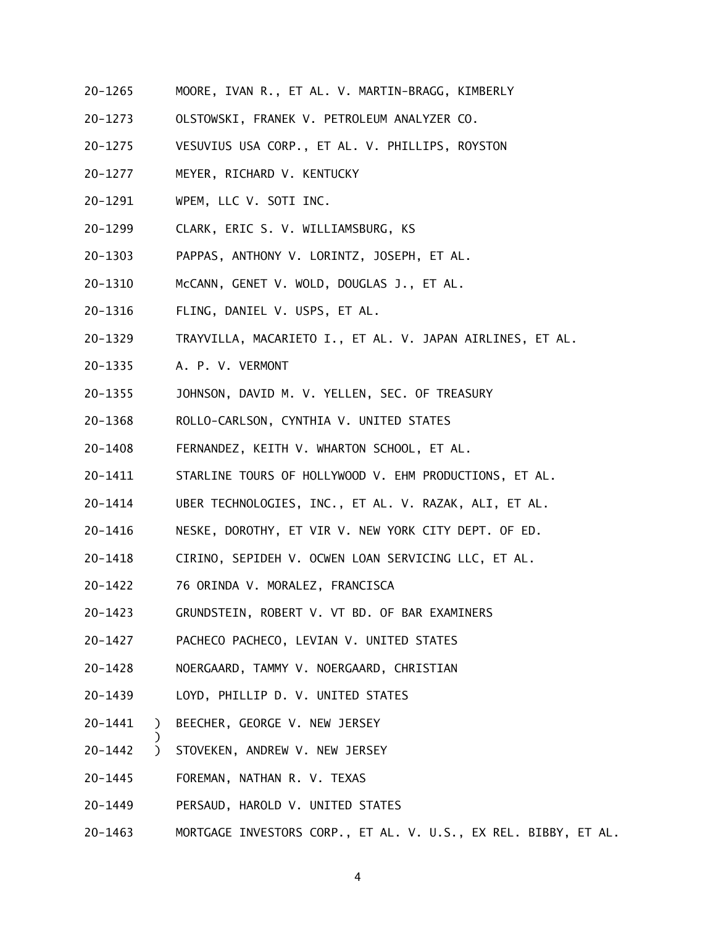- 20-1265 MOORE, IVAN R., ET AL. V. MARTIN-BRAGG, KIMBERLY
- 20-1273 OLSTOWSKI, FRANEK V. PETROLEUM ANALYZER CO.
- 20-1275 VESUVIUS USA CORP., ET AL. V. PHILLIPS, ROYSTON
- 20-1277 MEYER, RICHARD V. KENTUCKY
- 20-1291 WPEM, LLC V. SOTI INC.
- 20-1299 CLARK, ERIC S. V. WILLIAMSBURG, KS
- 20-1303 PAPPAS, ANTHONY V. LORINTZ, JOSEPH, ET AL.
- 20-1310 McCANN, GENET V. WOLD, DOUGLAS J., ET AL.
- 20-1316 FLING, DANIEL V. USPS, ET AL.
- 20-1329 20-1329 TRAYVILLA, MACARIETO I., ET AL. V. JAPAN AIRLINES, ET AL.
- 20-1335 A. P. V. VERMONT
- 20-1355 JOHNSON, DAVID M. V. YELLEN, SEC. OF TREASURY
- 20-1368 ROLLO-CARLSON, CYNTHIA V. UNITED STATES
- 20-1408 FERNANDEZ, KEITH V. WHARTON SCHOOL, ET AL.
- 20-1411 STARLINE TOURS OF HOLLYWOOD V. EHM PRODUCTIONS, ET AL.
- 20-1414 UBER TECHNOLOGIES, INC., ET AL. V. RAZAK, ALI, ET AL.
- 20-1416 NESKE, DOROTHY, ET VIR V. NEW YORK CITY DEPT. OF ED.
- 20-1418 CIRINO, SEPIDEH V. OCWEN LOAN SERVICING LLC, ET AL.
- 20-1422 76 ORINDA V. MORALEZ, FRANCISCA
- 20-1423 GRUNDSTEIN, ROBERT V. VT BD. OF BAR EXAMINERS
- 20-1427 PACHECO PACHECO, LEVIAN V. UNITED STATES
- 20-1428 NOERGAARD, TAMMY V. NOERGAARD, CHRISTIAN
- 20-1439 LOYD, PHILLIP D. V. UNITED STATES
- 20-1441 ) BEECHER, GEORGE V. NEW JERSEY
- 20-1442 ) STOVEKEN, ANDREW V. NEW JERSEY
- 20-1445 FOREMAN, NATHAN R. V. TEXAS

)

- 20-1449 PERSAUD, HAROLD V. UNITED STATES
- 20–1463 20-1463 MORTGAGE INVESTORS CORP., ET AL. V. U.S., EX REL. BIBBY, ET AL.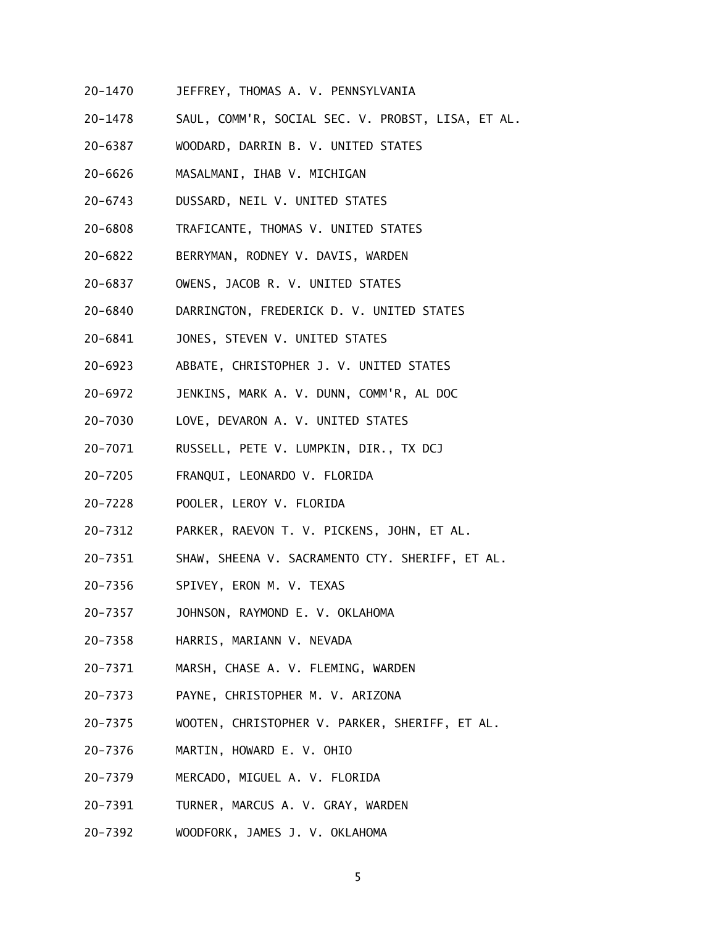- 20-1470 JEFFREY, THOMAS A. V. PENNSYLVANIA
- 20-1478 SAUL, COMM'R, SOCIAL SEC. V. PROBST, LISA, ET AL.
- 20-6387 WOODARD, DARRIN B. V. UNITED STATES
- 20-6626 MASALMANI, IHAB V. MICHIGAN
- 20-6743 DUSSARD, NEIL V. UNITED STATES
- 20-6808 TRAFICANTE, THOMAS V. UNITED STATES
- 20-6822 BERRYMAN, RODNEY V. DAVIS, WARDEN
- 20-6837 OWENS, JACOB R. V. UNITED STATES
- 20-6840 DARRINGTON, FREDERICK D. V. UNITED STATES
- $20 6841$ JONES, STEVEN V. UNITED STATES
- 20-6923 ABBATE, CHRISTOPHER J. V. UNITED STATES
- 20-6972 JENKINS, MARK A. V. DUNN, COMM'R, AL DOC
- 20-7030 LOVE, DEVARON A. V. UNITED STATES
- 20-7071 RUSSELL, PETE V. LUMPKIN, DIR., TX DCJ
- $20 7205$ 20-7205 FRANQUI, LEONARDO V. FLORIDA
- 20-7228 POOLER, LEROY V. FLORIDA
- 20-7312 PARKER, RAEVON T. V. PICKENS, JOHN, ET AL.
- 20-7351 SHAW, SHEENA V. SACRAMENTO CTY. SHERIFF, ET AL.
- 20-7356 SPIVEY, ERON M. V. TEXAS
- 20-7357 JOHNSON, RAYMOND E. V. OKLAHOMA
- 20-7358 HARRIS, MARIANN V. NEVADA
- 20-7371 MARSH, CHASE A. V. FLEMING, WARDEN
- 20-7373 PAYNE, CHRISTOPHER M. V. ARIZONA
- 20-7375 WOOTEN, CHRISTOPHER V. PARKER, SHERIFF, ET AL.
- 20-7376 MARTIN, HOWARD E. V. OHIO
- 20-7379 MERCADO, MIGUEL A. V. FLORIDA
- 20-7391 TURNER, MARCUS A. V. GRAY, WARDEN
- 20-7392 WOODFORK, JAMES J. V. OKLAHOMA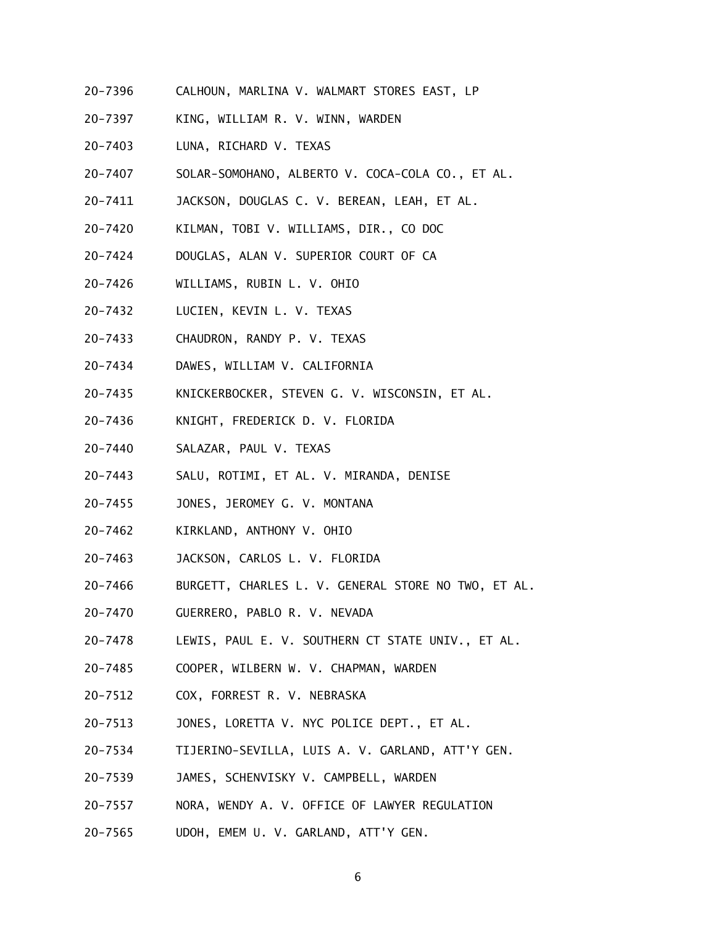- 20-7396 CALHOUN, MARLINA V. WALMART STORES EAST, LP
- 20-7397 KING, WILLIAM R. V. WINN, WARDEN
- 20-7403 LUNA, RICHARD V. TEXAS
- 20-7407 SOLAR-SOMOHANO, ALBERTO V. COCA-COLA CO., ET AL.
- 20-7411 JACKSON, DOUGLAS C. V. BEREAN, LEAH, ET AL.
- 20-7420 KILMAN, TOBI V. WILLIAMS, DIR., CO DOC
- 20-7424 DOUGLAS, ALAN V. SUPERIOR COURT OF CA
- 20-7426 WILLIAMS, RUBIN L. V. OHIO
- 20-7432 LUCIEN, KEVIN L. V. TEXAS
- 20-7433 CHAUDRON, RANDY P. V. TEXAS
- 20-7434 DAWES, WILLIAM V. CALIFORNIA
- 20-7435 KNICKERBOCKER, STEVEN G. V. WISCONSIN, ET AL.
- 20-7436 KNIGHT, FREDERICK D. V. FLORIDA
- 20-7440 SALAZAR, PAUL V. TEXAS
- $20 7443$ SALU, ROTIMI, ET AL. V. MIRANDA, DENISE
- 20-7455 JONES, JEROMEY G. V. MONTANA
- 20-7462 KIRKLAND, ANTHONY V. OHIO
- 20-7463 JACKSON, CARLOS L. V. FLORIDA
- 20-7466 BURGETT, CHARLES L. V. GENERAL STORE NO TWO, ET AL.
- 20-7470 GUERRERO, PABLO R. V. NEVADA
- 20-7478 LEWIS, PAUL E. V. SOUTHERN CT STATE UNIV., ET AL.
- 20-7485 COOPER, WILBERN W. V. CHAPMAN, WARDEN
- 20-7512 COX, FORREST R. V. NEBRASKA
- 20-7513 JONES, LORETTA V. NYC POLICE DEPT., ET AL.
- 20-7534 TIJERINO-SEVILLA, LUIS A. V. GARLAND, ATT'Y GEN.
- 20-7539 JAMES, SCHENVISKY V. CAMPBELL, WARDEN
- 20-7557 NORA, WENDY A. V. OFFICE OF LAWYER REGULATION
- 20-7565 UDOH, EMEM U. V. GARLAND, ATT'Y GEN.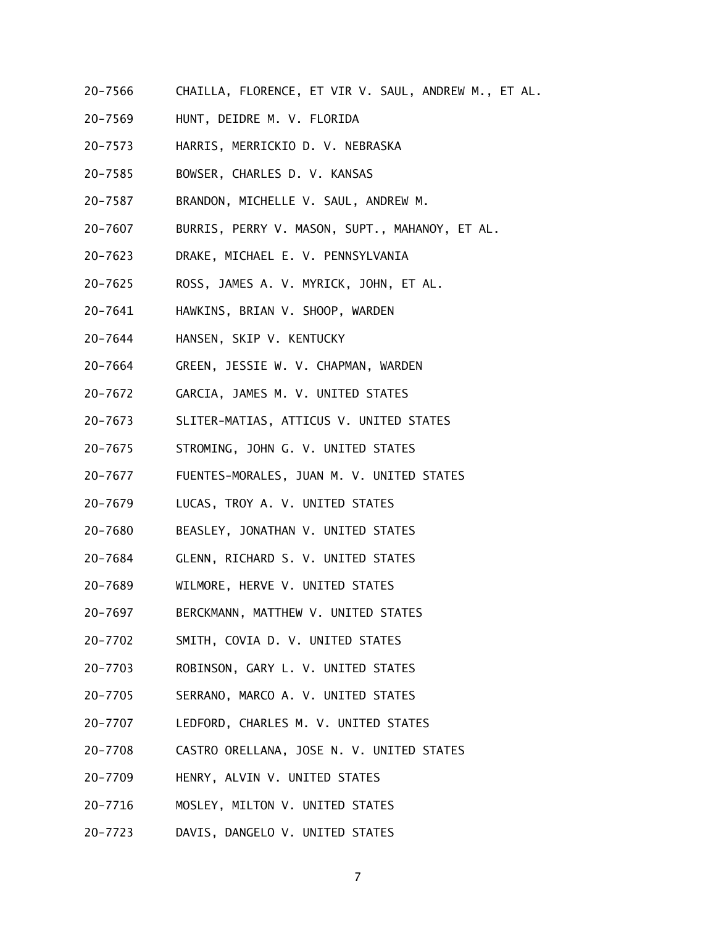- 20-7566 CHAILLA, FLORENCE, ET VIR V. SAUL, ANDREW M., ET AL.
- 20-7569 HUNT, DEIDRE M. V. FLORIDA
- 20-7573 HARRIS, MERRICKIO D. V. NEBRASKA
- 20-7585 BOWSER, CHARLES D. V. KANSAS
- 20-7587 BRANDON, MICHELLE V. SAUL, ANDREW M.
- 20-7607 BURRIS, PERRY V. MASON, SUPT., MAHANOY, ET AL.
- 20-7623 DRAKE, MICHAEL E. V. PENNSYLVANIA
- 20-7625 ROSS, JAMES A. V. MYRICK, JOHN, ET AL.
- 20-7641 HAWKINS, BRIAN V. SHOOP, WARDEN
- 20-7644 HANSEN, SKIP V. KENTUCKY
- 20-7664 GREEN, JESSIE W. V. CHAPMAN, WARDEN
- 20-7672 GARCIA, JAMES M. V. UNITED STATES
- 20-7673 SLITER-MATIAS, ATTICUS V. UNITED STATES
- 20-7675 STROMING, JOHN G. V. UNITED STATES
- 20-7677 FUENTES-MORALES, JUAN M. V. UNITED STATES
- 20-7679 LUCAS, TROY A. V. UNITED STATES
- 20-7680 BEASLEY, JONATHAN V. UNITED STATES
- 20-7684 GLENN, RICHARD S. V. UNITED STATES
- 20-7689 WILMORE, HERVE V. UNITED STATES
- 20-7697 BERCKMANN, MATTHEW V. UNITED STATES
- 20-7702 SMITH, COVIA D. V. UNITED STATES
- 20-7703 ROBINSON, GARY L. V. UNITED STATES
- 20-7705 SERRANO, MARCO A. V. UNITED STATES
- 20-7707 LEDFORD, CHARLES M. V. UNITED STATES
- 20-7708 CASTRO ORELLANA, JOSE N. V. UNITED STATES
- 20-7709 HENRY, ALVIN V. UNITED STATES
- 20-7716 MOSLEY, MILTON V. UNITED STATES
- 20-7723 DAVIS, DANGELO V. UNITED STATES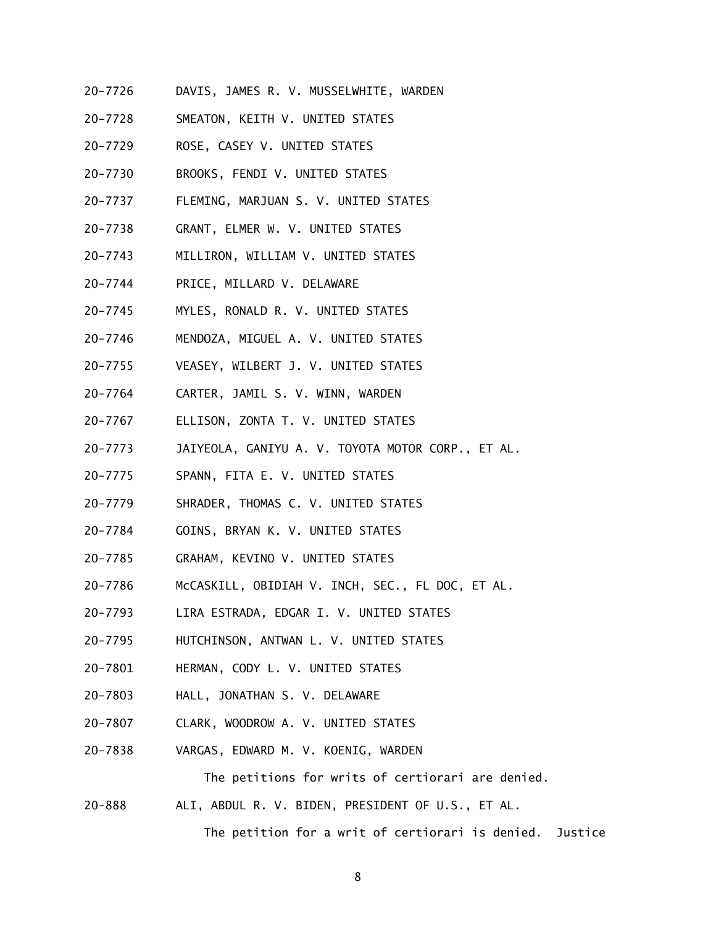- 20-7726 DAVIS, JAMES R. V. MUSSELWHITE, WARDEN
- 20-7728 SMEATON, KEITH V. UNITED STATES
- 20-7729 ROSE, CASEY V. UNITED STATES
- 20-7730 BROOKS, FENDI V. UNITED STATES
- 20-7737 FLEMING, MARJUAN S. V. UNITED STATES
- 20-7738 GRANT, ELMER W. V. UNITED STATES
- 20-7743 MILLIRON, WILLIAM V. UNITED STATES
- 20-7744 PRICE, MILLARD V. DELAWARE
- 20-7745 MYLES, RONALD R. V. UNITED STATES
- 20-7746 MENDOZA, MIGUEL A. V. UNITED STATES
- 20-7755 VEASEY, WILBERT J. V. UNITED STATES
- 20-7764 CARTER, JAMIL S. V. WINN, WARDEN
- 20-7767 ELLISON, ZONTA T. V. UNITED STATES
- 20-7773 JAIYEOLA, GANIYU A. V. TOYOTA MOTOR CORP., ET AL.
- 20-7775 SPANN, FITA E. V. UNITED STATES
- 20-7779 SHRADER, THOMAS C. V. UNITED STATES
- 20-7784 GOINS, BRYAN K. V. UNITED STATES
- 20-7785 GRAHAM, KEVINO V. UNITED STATES
- 20-7786 McCASKILL, OBIDIAH V. INCH, SEC., FL DOC, ET AL.
- 20-7793 LIRA ESTRADA, EDGAR I. V. UNITED STATES
- 20-7795 HUTCHINSON, ANTWAN L. V. UNITED STATES
- 20-7801 HERMAN, CODY L. V. UNITED STATES
- 20-7803 HALL, JONATHAN S. V. DELAWARE
- 20-7807 CLARK, WOODROW A. V. UNITED STATES
- 20-7838 VARGAS, EDWARD M. V. KOENIG, WARDEN

The petitions for writs of certiorari are denied.

 $20 - 888$ ALI, ABDUL R. V. BIDEN, PRESIDENT OF U.S., ET AL.

The petition for a writ of certiorari is denied. Justice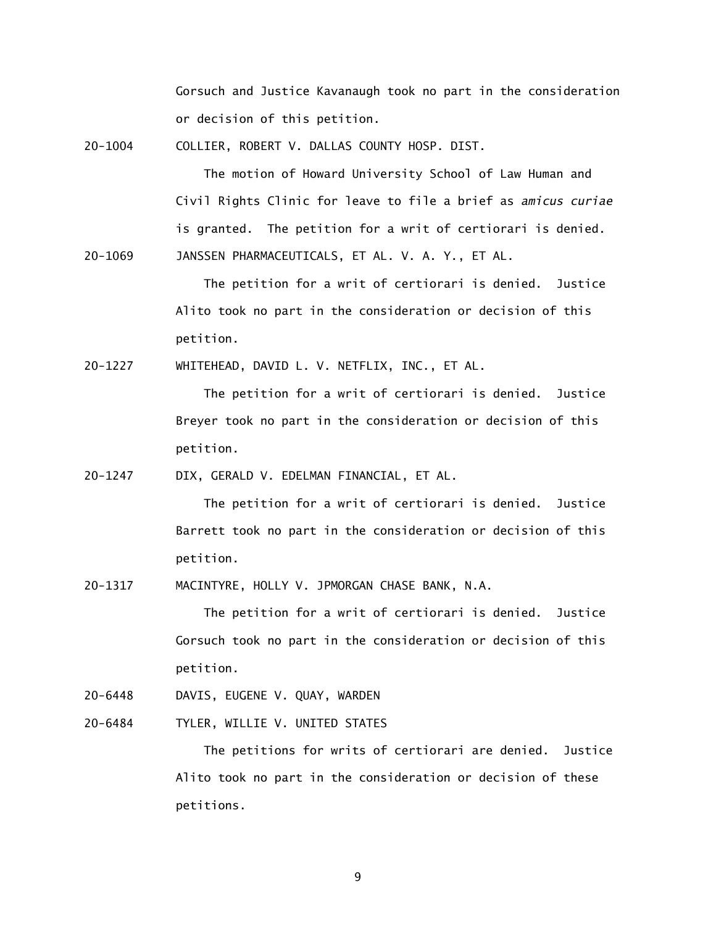Gorsuch and Justice Kavanaugh took no part in the consideration or decision of this petition.

20-1004 COLLIER, ROBERT V. DALLAS COUNTY HOSP. DIST.

 The motion of Howard University School of Law Human and Civil Rights Clinic for leave to file a brief as *amicus curiae*  is granted. The petition for a writ of certiorari is denied.

20-1069 JANSSEN PHARMACEUTICALS, ET AL. V. A. Y., ET AL.

 The petition for a writ of certiorari is denied. Justice Alito took no part in the consideration or decision of this petition.

20-1227 WHITEHEAD, DAVID L. V. NETFLIX, INC., ET AL.

 The petition for a writ of certiorari is denied. Justice Breyer took no part in the consideration or decision of this petition.

20-1247 DIX, GERALD V. EDELMAN FINANCIAL, ET AL.

 The petition for a writ of certiorari is denied. Justice Barrett took no part in the consideration or decision of this petition.

20-1317 MACINTYRE, HOLLY V. JPMORGAN CHASE BANK, N.A.

 The petition for a writ of certiorari is denied. Justice Gorsuch took no part in the consideration or decision of this petition.

- 20-6448 DAVIS, EUGENE V. QUAY, WARDEN
- $20 6484$ TYLER, WILLIE V. UNITED STATES

 The petitions for writs of certiorari are denied. Justice Alito took no part in the consideration or decision of these petitions.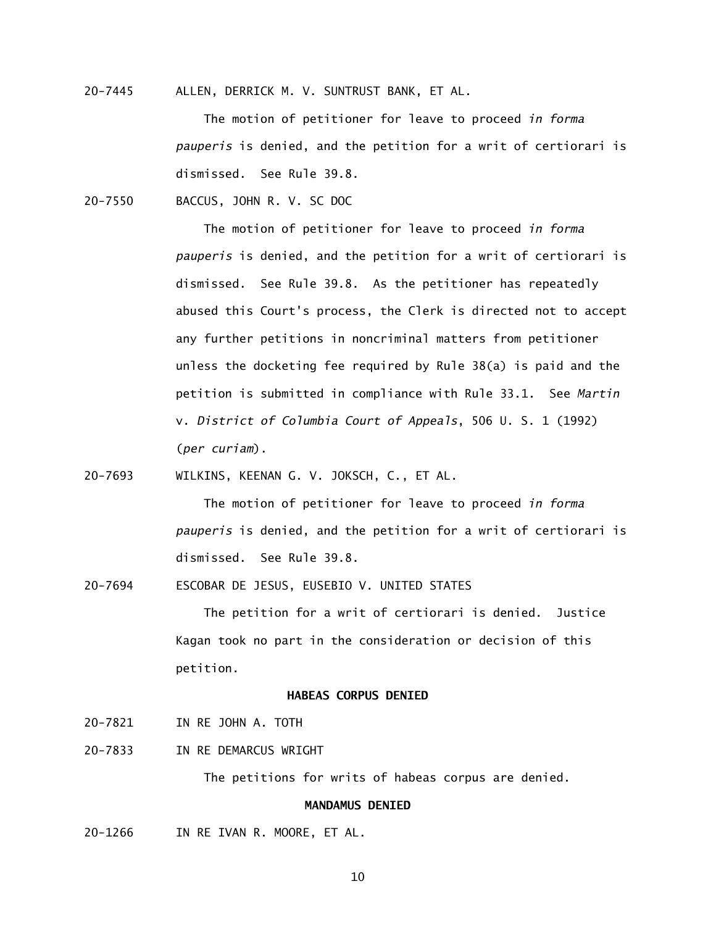20-7445 ALLEN, DERRICK M. V. SUNTRUST BANK, ET AL.

 The motion of petitioner for leave to proceed *in forma pauperis* is denied, and the petition for a writ of certiorari is dismissed. See Rule 39.8.

20-7550 BACCUS, JOHN R. V. SC DOC

 The motion of petitioner for leave to proceed *in forma pauperis* is denied, and the petition for a writ of certiorari is dismissed. See Rule 39.8. As the petitioner has repeatedly abused this Court's process, the Clerk is directed not to accept any further petitions in noncriminal matters from petitioner unless the docketing fee required by Rule 38(a) is paid and the petition is submitted in compliance with Rule 33.1. See *Martin*  v. *District of Columbia Court of Appeals*, 506 U. S. 1 (1992) (*per curiam*).

20-7693 WILKINS, KEENAN G. V. JOKSCH, C., ET AL.

 The motion of petitioner for leave to proceed *in forma pauperis* is denied, and the petition for a writ of certiorari is dismissed. See Rule 39.8.

20-7694 ESCOBAR DE JESUS, EUSEBIO V. UNITED STATES

 The petition for a writ of certiorari is denied. Justice Kagan took no part in the consideration or decision of this petition.

## **HABEAS CORPUS DENIED**

- 20-7821 IN RE JOHN A. TOTH
- 20-7833 IN RE DEMARCUS WRIGHT

The petitions for writs of habeas corpus are denied.

## **MANDAMUS DENIED**

20-1266 IN RE IVAN R. MOORE, ET AL.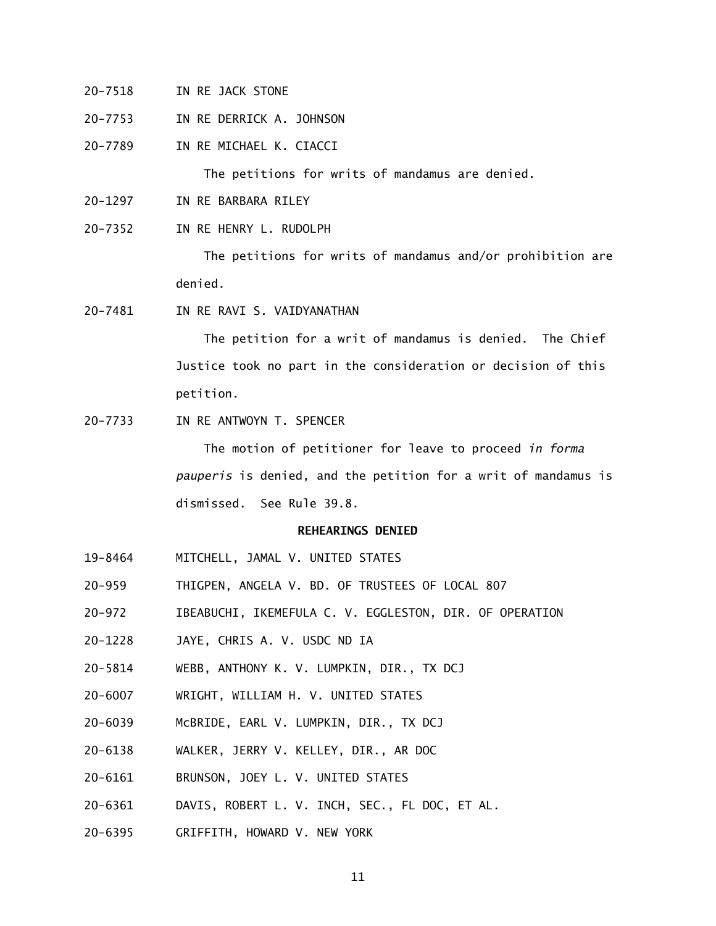- 20-7518 IN RE JACK STONE
- $20 7753$ IN RE DERRICK A. JOHNSON
- 20-7789 IN RE MICHAEL K. CIACCI

The petitions for writs of mandamus are denied.

- 20-1297 IN RE BARBARA RILEY
- $20 7352$ IN RE HENRY L. RUDOLPH

 The petitions for writs of mandamus and/or prohibition are denied.

20-7481 IN RE RAVI S. VAIDYANATHAN

 The petition for a writ of mandamus is denied. The Chief Justice took no part in the consideration or decision of this petition.

20-7733 IN RE ANTWOYN T. SPENCER

 The motion of petitioner for leave to proceed *in forma pauperis* is denied, and the petition for a writ of mandamus is dismissed. See Rule 39.8.

#### **REHEARINGS DENIED**

- 19-8464 MITCHELL, JAMAL V. UNITED STATES
- $20 959$ THIGPEN, ANGELA V. BD. OF TRUSTEES OF LOCAL 807
- $20 972$ IBEABUCHI, IKEMEFULA C. V. EGGLESTON, DIR. OF OPERATION
- 20-1228 JAYE, CHRIS A. V. USDC ND IA
- 20-5814 WEBB, ANTHONY K. V. LUMPKIN, DIR., TX DCJ
- 20-6007 WRIGHT, WILLIAM H. V. UNITED STATES
- 20-6039 McBRIDE, EARL V. LUMPKIN, DIR., TX DCJ
- 20-6138 WALKER, JERRY V. KELLEY, DIR., AR DOC
- 20-6161 BRUNSON, JOEY L. V. UNITED STATES
- 20-6361 DAVIS, ROBERT L. V. INCH, SEC., FL DOC, ET AL.
- 20-6395 GRIFFITH, HOWARD V. NEW YORK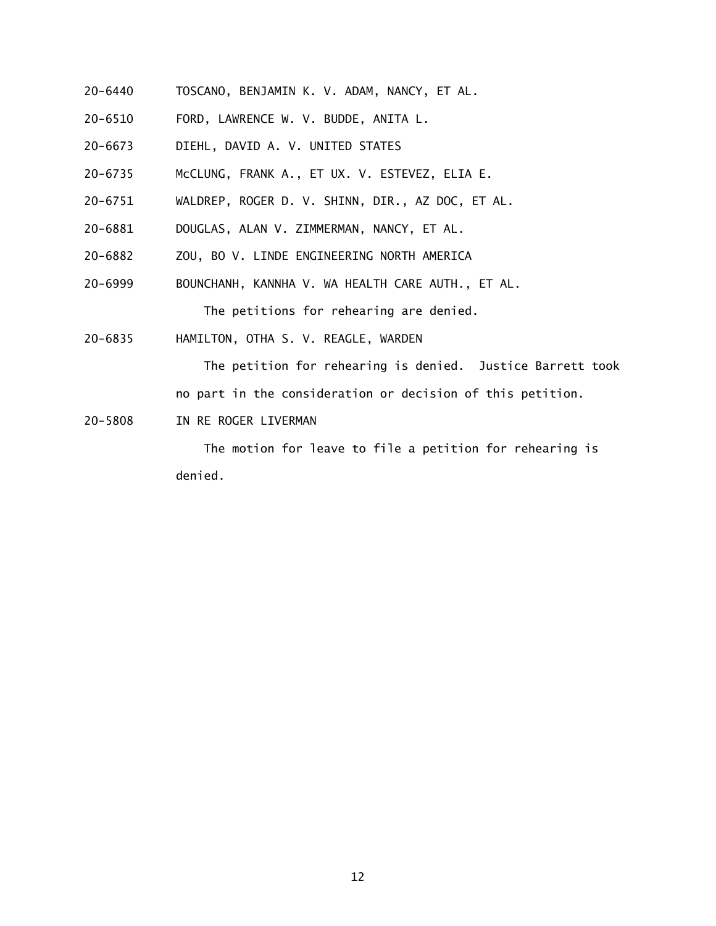- 20-6440 TOSCANO, BENJAMIN K. V. ADAM, NANCY, ET AL.
- 20-6510 FORD, LAWRENCE W. V. BUDDE, ANITA L.
- 20-6673 DIEHL, DAVID A. V. UNITED STATES
- 20-6735 McCLUNG, FRANK A., ET UX. V. ESTEVEZ, ELIA E.
- 20-6751 WALDREP, ROGER D. V. SHINN, DIR., AZ DOC, ET AL.
- 20-6881 DOUGLAS, ALAN V. ZIMMERMAN, NANCY, ET AL.
- 20-6882 ZOU, BO V. LINDE ENGINEERING NORTH AMERICA
- 20-6999 BOUNCHANH, KANNHA V. WA HEALTH CARE AUTH., ET AL.

The petitions for rehearing are denied.

20-6835 HAMILTON, OTHA S. V. REAGLE, WARDEN

The petition for rehearing is denied. Justice Barrett took

no part in the consideration or decision of this petition.

20-5808 IN RE ROGER LIVERMAN

The motion for leave to file a petition for rehearing is denied.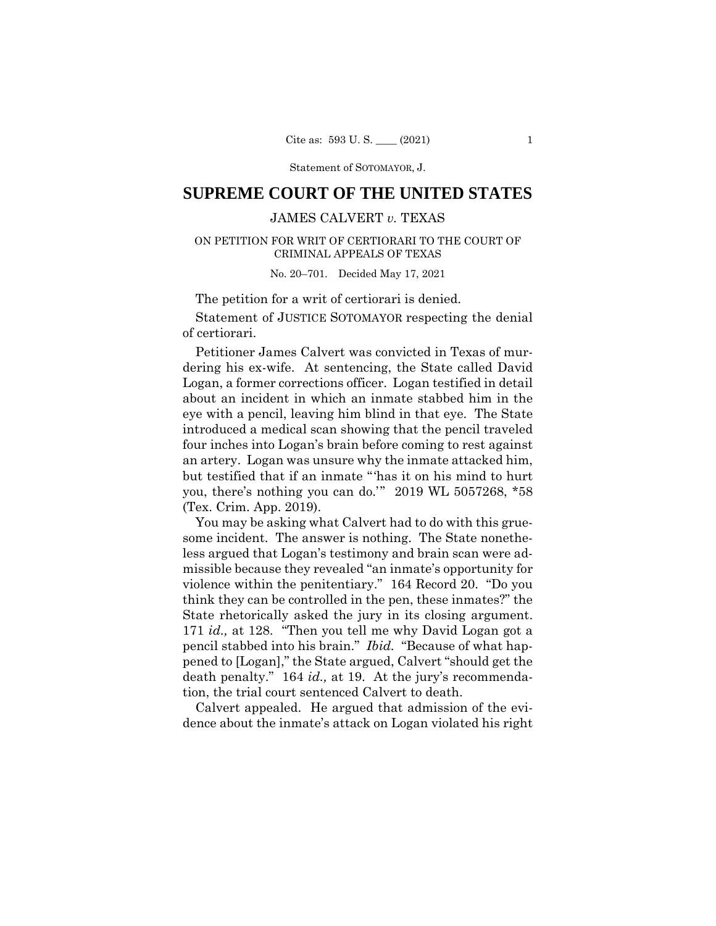Statement of SOTOMAYOR, J.

# **SUPREME COURT OF THE UNITED STATES**

## JAMES CALVERT *v.* TEXAS

### ON PETITION FOR WRIT OF CERTIORARI TO THE COURT OF CRIMINAL APPEALS OF TEXAS

No. 20–701. Decided May 17, 2021

The petition for a writ of certiorari is denied.

 Statement of JUSTICE SOTOMAYOR respecting the denial of certiorari.

Petitioner James Calvert was convicted in Texas of murdering his ex-wife. At sentencing, the State called David Logan, a former corrections officer. Logan testified in detail about an incident in which an inmate stabbed him in the eye with a pencil, leaving him blind in that eye. The State introduced a medical scan showing that the pencil traveled four inches into Logan's brain before coming to rest against an artery. Logan was unsure why the inmate attacked him, but testified that if an inmate "'has it on his mind to hurt you, there's nothing you can do.'" 2019 WL 5057268, \*58 (Tex. Crim. App. 2019).

You may be asking what Calvert had to do with this gruesome incident. The answer is nothing. The State nonetheless argued that Logan's testimony and brain scan were admissible because they revealed "an inmate's opportunity for violence within the penitentiary." 164 Record 20. "Do you think they can be controlled in the pen, these inmates?" the State rhetorically asked the jury in its closing argument. 171 *id.,* at 128. "Then you tell me why David Logan got a pencil stabbed into his brain." *Ibid.* "Because of what happened to [Logan]," the State argued, Calvert "should get the death penalty." 164 *id.,* at 19. At the jury's recommendation, the trial court sentenced Calvert to death.

Calvert appealed. He argued that admission of the evidence about the inmate's attack on Logan violated his right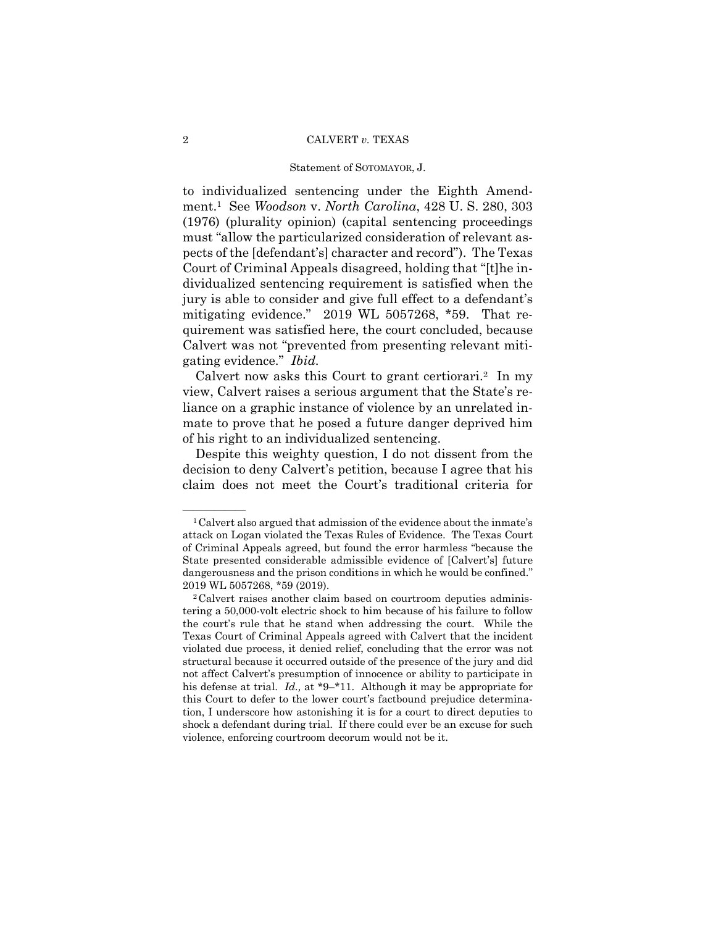#### 2 CALVERT *v.* TEXAS

#### Statement of SOTOMAYOR, J.

to individualized sentencing under the Eighth Amendment.1 See *Woodson* v. *North Carolina*, 428 U. S. 280, 303 (1976) (plurality opinion) (capital sentencing proceedings must "allow the particularized consideration of relevant aspects of the [defendant's] character and record"). The Texas Court of Criminal Appeals disagreed, holding that "[t]he individualized sentencing requirement is satisfied when the jury is able to consider and give full effect to a defendant's mitigating evidence." 2019 WL 5057268, \*59. That requirement was satisfied here, the court concluded, because Calvert was not "prevented from presenting relevant mitigating evidence." *Ibid.* 

Calvert now asks this Court to grant certiorari.<sup>2</sup> In my view, Calvert raises a serious argument that the State's reliance on a graphic instance of violence by an unrelated inmate to prove that he posed a future danger deprived him of his right to an individualized sentencing.

Despite this weighty question, I do not dissent from the decision to deny Calvert's petition, because I agree that his claim does not meet the Court's traditional criteria for

 ${}^{1}$ Calvert also argued that admission of the evidence about the inmate's attack on Logan violated the Texas Rules of Evidence. The Texas Court of Criminal Appeals agreed, but found the error harmless "because the State presented considerable admissible evidence of [Calvert's] future dangerousness and the prison conditions in which he would be confined." 2019 WL 5057268, \*59 (2019).<br><sup>2</sup>Calvert raises another claim based on courtroom deputies adminis-

tering a 50,000-volt electric shock to him because of his failure to follow the court's rule that he stand when addressing the court. While the Texas Court of Criminal Appeals agreed with Calvert that the incident violated due process, it denied relief, concluding that the error was not structural because it occurred outside of the presence of the jury and did not affect Calvert's presumption of innocence or ability to participate in his defense at trial. *Id.,* at \*9–\*11. Although it may be appropriate for this Court to defer to the lower court's factbound prejudice determination, I underscore how astonishing it is for a court to direct deputies to shock a defendant during trial. If there could ever be an excuse for such violence, enforcing courtroom decorum would not be it.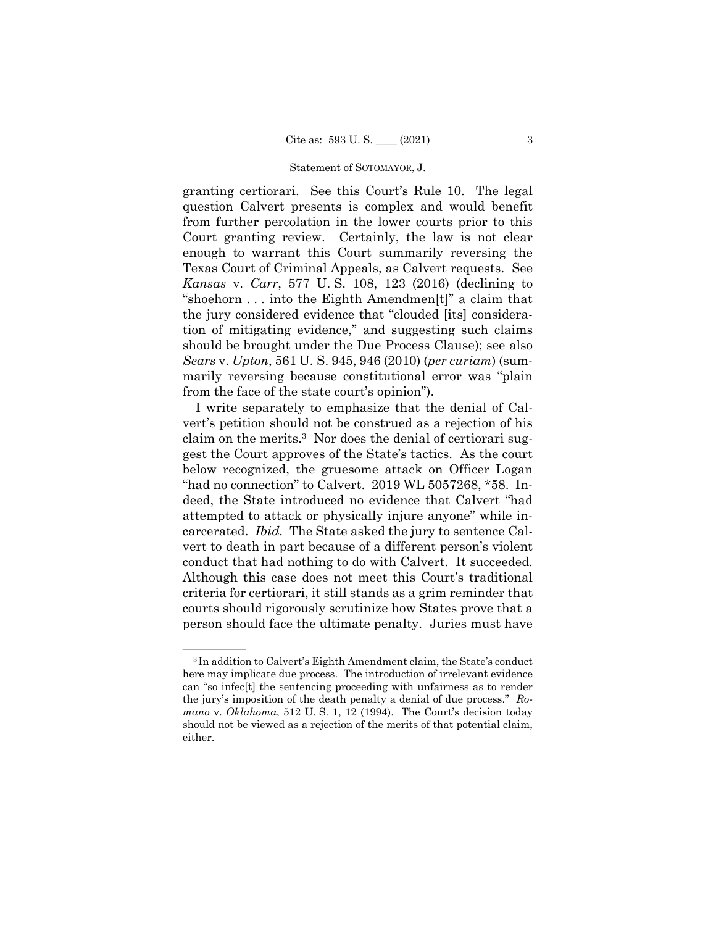#### Statement of SOTOMAYOR, J.

granting certiorari. See this Court's Rule 10. The legal question Calvert presents is complex and would benefit from further percolation in the lower courts prior to this Court granting review. Certainly, the law is not clear enough to warrant this Court summarily reversing the Texas Court of Criminal Appeals, as Calvert requests. See *Kansas* v. *Carr*, 577 U. S. 108, 123 (2016) (declining to "shoehorn . . . into the Eighth Amendmen[t]" a claim that the jury considered evidence that "clouded [its] consideration of mitigating evidence," and suggesting such claims should be brought under the Due Process Clause); see also *Sears* v. *Upton*, 561 U. S. 945, 946 (2010) (*per curiam*) (summarily reversing because constitutional error was "plain from the face of the state court's opinion").

 conduct that had nothing to do with Calvert. It succeeded. courts should rigorously scrutinize how States prove that a I write separately to emphasize that the denial of Calvert's petition should not be construed as a rejection of his claim on the merits.3 Nor does the denial of certiorari suggest the Court approves of the State's tactics. As the court below recognized, the gruesome attack on Officer Logan "had no connection" to Calvert. 2019 WL 5057268, \*58. Indeed, the State introduced no evidence that Calvert "had attempted to attack or physically injure anyone" while incarcerated. *Ibid.* The State asked the jury to sentence Calvert to death in part because of a different person's violent Although this case does not meet this Court's traditional criteria for certiorari, it still stands as a grim reminder that person should face the ultimate penalty. Juries must have

<sup>&</sup>lt;sup>3</sup>In addition to Calvert's Eighth Amendment claim, the State's conduct here may implicate due process. The introduction of irrelevant evidence can "so infec[t] the sentencing proceeding with unfairness as to render the jury's imposition of the death penalty a denial of due process." *Romano* v. *Oklahoma*, 512 U. S. 1, 12 (1994). The Court's decision today should not be viewed as a rejection of the merits of that potential claim, either.